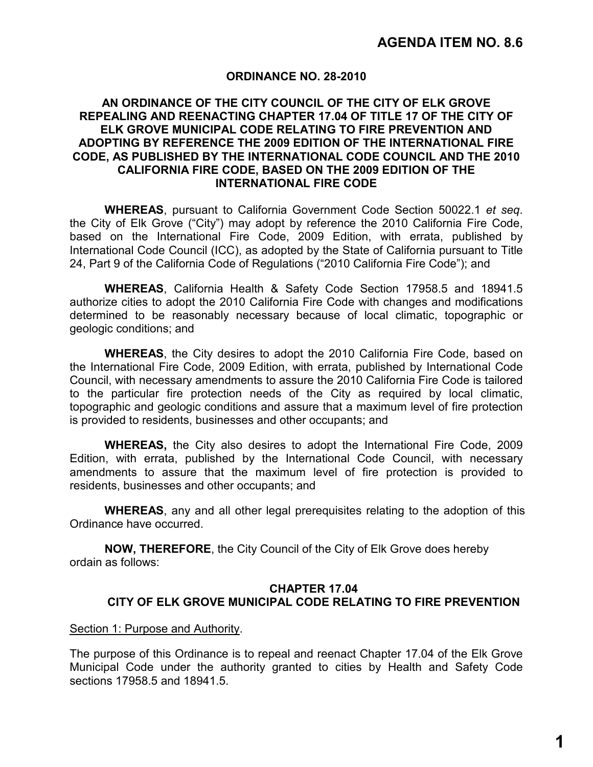## **ORDINANCE NO. 28-2010**

## **AN ORDINANCE OF THE CITY COUNCIL OF THE CITY OF ELK GROVE REPEALING AND REENACTING CHAPTER 17.04 OF TITLE 17 OF THE CITY OF ELK GROVE MUNICIPAL CODE RELATING TO FIRE PREVENTION AND ADOPTING BY REFERENCE THE 2009 EDITION OF THE INTERNATIONAL FIRE CODE, AS PUBLISHED BY THE INTERNATIONAL CODE COUNCIL AND THE 2010 CALIFORNIA FIRE CODE, BASED ON THE 2009 EDITION OF THE INTERNATIONAL FIRE CODE**

**WHEREAS**, pursuant to California Government Code Section 50022.1 *et seq*. the City of Elk Grove ("City") may adopt by reference the 2010 California Fire Code, based on the International Fire Code, 2009 Edition, with errata, published by International Code Council (ICC), as adopted by the State of California pursuant to Title 24, Part 9 of the California Code of Regulations ("2010 California Fire Code"); and

**WHEREAS**, California Health & Safety Code Section 17958.5 and 18941.5 authorize cities to adopt the 2010 California Fire Code with changes and modifications determined to be reasonably necessary because of local climatic, topographic or geologic conditions; and

**WHEREAS**, the City desires to adopt the 2010 California Fire Code, based on the International Fire Code, 2009 Edition, with errata, published by International Code Council, with necessary amendments to assure the 2010 California Fire Code is tailored to the particular fire protection needs of the City as required by local climatic, topographic and geologic conditions and assure that a maximum level of fire protection is provided to residents, businesses and other occupants; and

**WHEREAS,** the City also desires to adopt the International Fire Code, 2009 Edition, with errata, published by the International Code Council, with necessary amendments to assure that the maximum level of fire protection is provided to residents, businesses and other occupants; and

**WHEREAS**, any and all other legal prerequisites relating to the adoption of this Ordinance have occurred.

**NOW, THEREFORE**, the City Council of the City of Elk Grove does hereby ordain as follows:

# **CHAPTER 17.04 CITY OF ELK GROVE MUNICIPAL CODE RELATING TO FIRE PREVENTION**

### Section 1: Purpose and Authority.

The purpose of this Ordinance is to repeal and reenact Chapter 17.04 of the Elk Grove Municipal Code under the authority granted to cities by Health and Safety Code sections 17958.5 and 18941.5.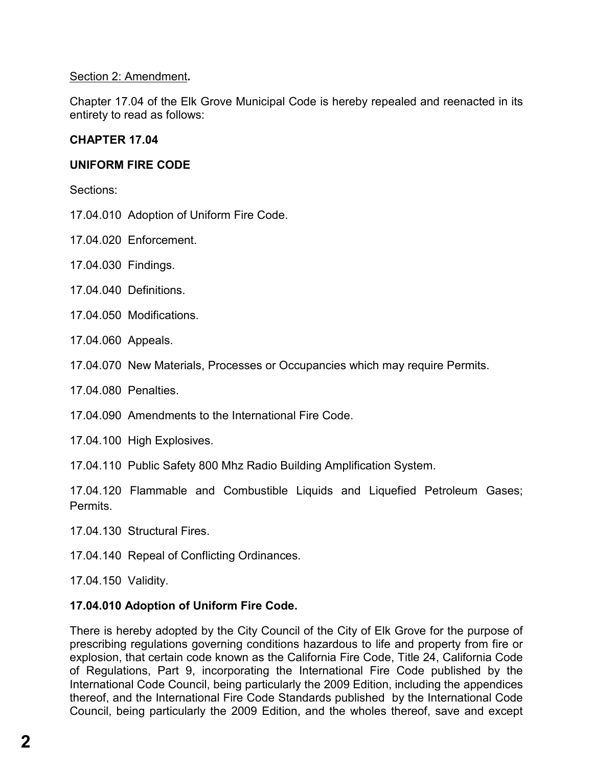# Section 2: Amendment**.**

Chapter 17.04 of the Elk Grove Municipal Code is hereby repealed and reenacted in its entirety to read as follows:

# **CHAPTER 17.04**

# **UNIFORM FIRE CODE**

Sections:

- 17.04.010 Adoption of Uniform Fire Code.
- 17.04.020 Enforcement.
- 17.04.030 Findings.
- 17.04.040 Definitions.
- 17.04.050 Modifications.
- 17.04.060 Appeals.
- 17.04.070 New Materials, Processes or Occupancies which may require Permits.
- 17.04.080 Penalties.
- 17.04.090 Amendments to the International Fire Code.
- 17.04.100 High Explosives.

17.04.110 Public Safety 800 Mhz Radio Building Amplification System.

17.04.120 Flammable and Combustible Liquids and Liquefied Petroleum Gases; Permits.

- 17.04.130 Structural Fires.
- 17.04.140 Repeal of Conflicting Ordinances.
- 17.04.150 Validity.

# **17.04.010 Adoption of Uniform Fire Code.**

There is hereby adopted by the City Council of the City of Elk Grove for the purpose of prescribing regulations governing conditions hazardous to life and property from fire or explosion, that certain code known as the California Fire Code, Title 24, California Code of Regulations, Part 9, incorporating the International Fire Code published by the International Code Council, being particularly the 2009 Edition, including the appendices thereof, and the International Fire Code Standards published by the International Code Council, being particularly the 2009 Edition, and the wholes thereof, save and except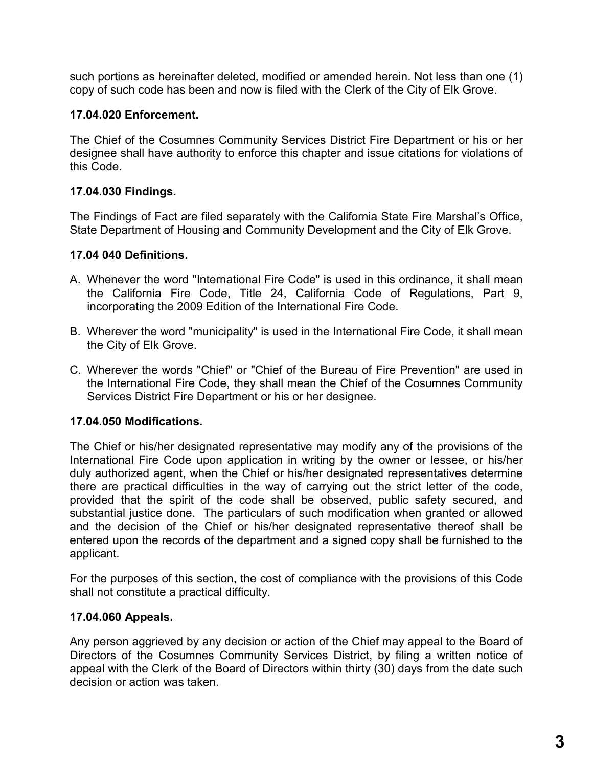such portions as hereinafter deleted, modified or amended herein. Not less than one (1) copy of such code has been and now is filed with the Clerk of the City of Elk Grove.

## **17.04.020 Enforcement.**

The Chief of the Cosumnes Community Services District Fire Department or his or her designee shall have authority to enforce this chapter and issue citations for violations of this Code.

# **17.04.030 Findings.**

The Findings of Fact are filed separately with the California State Fire Marshal's Office, State Department of Housing and Community Development and the City of Elk Grove.

## **17.04 040 Definitions.**

- A. Whenever the word "International Fire Code" is used in this ordinance, it shall mean the California Fire Code, Title 24, California Code of Regulations, Part 9, incorporating the 2009 Edition of the International Fire Code.
- B. Wherever the word "municipality" is used in the International Fire Code, it shall mean the City of Elk Grove.
- C. Wherever the words "Chief" or "Chief of the Bureau of Fire Prevention" are used in the International Fire Code, they shall mean the Chief of the Cosumnes Community Services District Fire Department or his or her designee.

# **17.04.050 Modifications.**

The Chief or his/her designated representative may modify any of the provisions of the International Fire Code upon application in writing by the owner or lessee, or his/her duly authorized agent, when the Chief or his/her designated representatives determine there are practical difficulties in the way of carrying out the strict letter of the code, provided that the spirit of the code shall be observed, public safety secured, and substantial justice done. The particulars of such modification when granted or allowed and the decision of the Chief or his/her designated representative thereof shall be entered upon the records of the department and a signed copy shall be furnished to the applicant.

For the purposes of this section, the cost of compliance with the provisions of this Code shall not constitute a practical difficulty.

# **17.04.060 Appeals.**

Any person aggrieved by any decision or action of the Chief may appeal to the Board of Directors of the Cosumnes Community Services District, by filing a written notice of appeal with the Clerk of the Board of Directors within thirty (30) days from the date such decision or action was taken.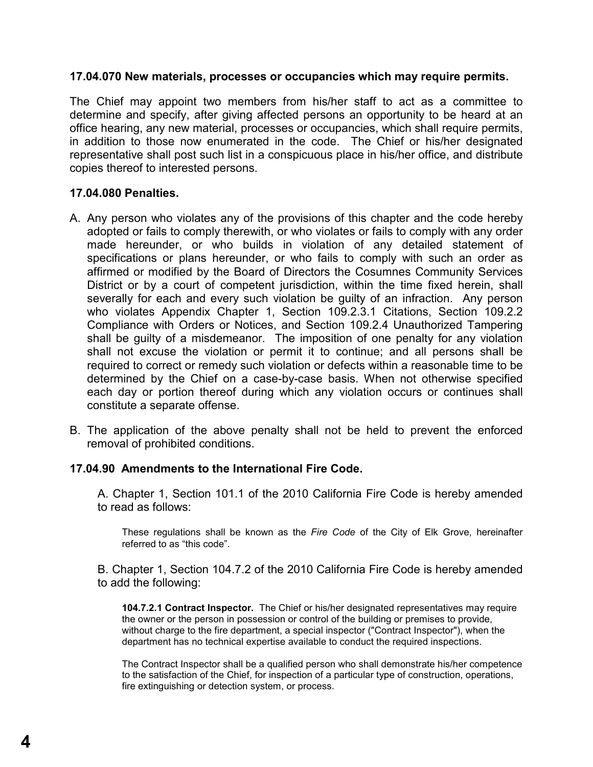### **17.04.070 New materials, processes or occupancies which may require permits.**

The Chief may appoint two members from his/her staff to act as a committee to determine and specify, after giving affected persons an opportunity to be heard at an office hearing, any new material, processes or occupancies, which shall require permits, in addition to those now enumerated in the code. The Chief or his/her designated representative shall post such list in a conspicuous place in his/her office, and distribute copies thereof to interested persons.

### **17.04.080 Penalties.**

- A. Any person who violates any of the provisions of this chapter and the code hereby adopted or fails to comply therewith, or who violates or fails to comply with any order made hereunder, or who builds in violation of any detailed statement of specifications or plans hereunder, or who fails to comply with such an order as affirmed or modified by the Board of Directors the Cosumnes Community Services District or by a court of competent jurisdiction, within the time fixed herein, shall severally for each and every such violation be guilty of an infraction. Any person who violates Appendix Chapter 1, Section 109.2.3.1 Citations, Section 109.2.2 Compliance with Orders or Notices, and Section 109.2.4 Unauthorized Tampering shall be guilty of a misdemeanor. The imposition of one penalty for any violation shall not excuse the violation or permit it to continue; and all persons shall be required to correct or remedy such violation or defects within a reasonable time to be determined by the Chief on a case-by-case basis. When not otherwise specified each day or portion thereof during which any violation occurs or continues shall constitute a separate offense.
- B. The application of the above penalty shall not be held to prevent the enforced removal of prohibited conditions.

## **17.04.90 Amendments to the International Fire Code.**

A. Chapter 1, Section 101.1 of the 2010 California Fire Code is hereby amended to read as follows:

These regulations shall be known as the *Fire Code* of the City of Elk Grove, hereinafter referred to as "this code".

B. Chapter 1, Section 104.7.2 of the 2010 California Fire Code is hereby amended to add the following:

**104.7.2.1 Contract Inspector.** The Chief or his/her designated representatives may require the owner or the person in possession or control of the building or premises to provide, without charge to the fire department, a special inspector ("Contract Inspector"), when the department has no technical expertise available to conduct the required inspections.

The Contract Inspector shall be a qualified person who shall demonstrate his/her competence to the satisfaction of the Chief, for inspection of a particular type of construction, operations, fire extinguishing or detection system, or process.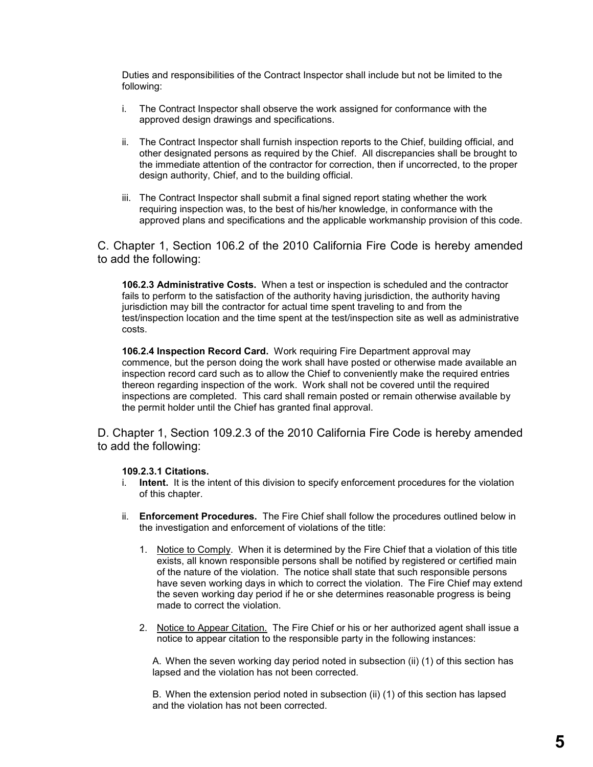Duties and responsibilities of the Contract Inspector shall include but not be limited to the following:

- i. The Contract Inspector shall observe the work assigned for conformance with the approved design drawings and specifications.
- ii. The Contract Inspector shall furnish inspection reports to the Chief, building official, and other designated persons as required by the Chief. All discrepancies shall be brought to the immediate attention of the contractor for correction, then if uncorrected, to the proper design authority, Chief, and to the building official.
- iii. The Contract Inspector shall submit a final signed report stating whether the work requiring inspection was, to the best of his/her knowledge, in conformance with the approved plans and specifications and the applicable workmanship provision of this code.

C. Chapter 1, Section 106.2 of the 2010 California Fire Code is hereby amended to add the following:

**106.2.3 Administrative Costs.** When a test or inspection is scheduled and the contractor fails to perform to the satisfaction of the authority having jurisdiction, the authority having jurisdiction may bill the contractor for actual time spent traveling to and from the test/inspection location and the time spent at the test/inspection site as well as administrative costs.

**106.2.4 Inspection Record Card.** Work requiring Fire Department approval may commence, but the person doing the work shall have posted or otherwise made available an inspection record card such as to allow the Chief to conveniently make the required entries thereon regarding inspection of the work. Work shall not be covered until the required inspections are completed. This card shall remain posted or remain otherwise available by the permit holder until the Chief has granted final approval.

D. Chapter 1, Section 109.2.3 of the 2010 California Fire Code is hereby amended to add the following:

#### **109.2.3.1 Citations.**

- i. **Intent.** It is the intent of this division to specify enforcement procedures for the violation of this chapter.
- ii. **Enforcement Procedures.** The Fire Chief shall follow the procedures outlined below in the investigation and enforcement of violations of the title:
	- 1. Notice to Comply. When it is determined by the Fire Chief that a violation of this title exists, all known responsible persons shall be notified by registered or certified main of the nature of the violation. The notice shall state that such responsible persons have seven working days in which to correct the violation. The Fire Chief may extend the seven working day period if he or she determines reasonable progress is being made to correct the violation.
	- 2. Notice to Appear Citation. The Fire Chief or his or her authorized agent shall issue a notice to appear citation to the responsible party in the following instances:

A. When the seven working day period noted in subsection (ii) (1) of this section has lapsed and the violation has not been corrected.

B. When the extension period noted in subsection (ii) (1) of this section has lapsed and the violation has not been corrected.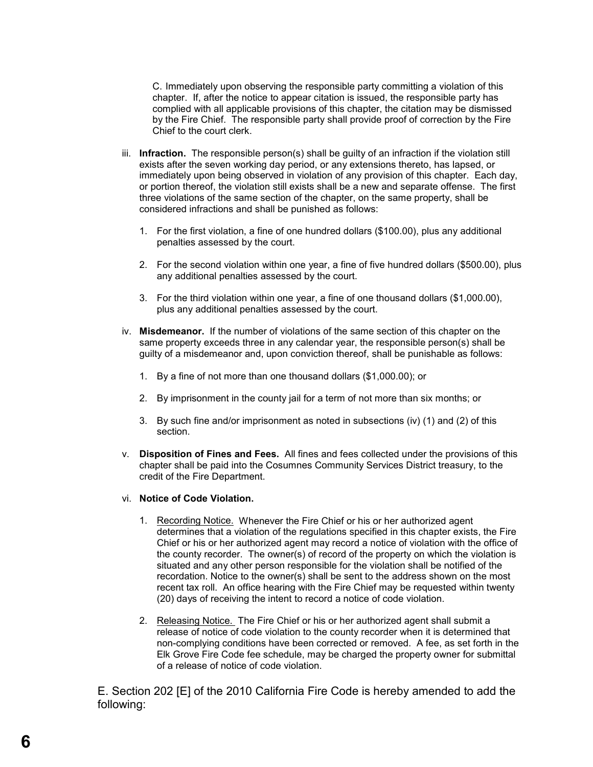C. Immediately upon observing the responsible party committing a violation of this chapter. If, after the notice to appear citation is issued, the responsible party has complied with all applicable provisions of this chapter, the citation may be dismissed by the Fire Chief. The responsible party shall provide proof of correction by the Fire Chief to the court clerk.

- iii. **Infraction.** The responsible person(s) shall be guilty of an infraction if the violation still exists after the seven working day period, or any extensions thereto, has lapsed, or immediately upon being observed in violation of any provision of this chapter. Each day, or portion thereof, the violation still exists shall be a new and separate offense. The first three violations of the same section of the chapter, on the same property, shall be considered infractions and shall be punished as follows:
	- 1. For the first violation, a fine of one hundred dollars (\$100.00), plus any additional penalties assessed by the court.
	- 2. For the second violation within one year, a fine of five hundred dollars (\$500.00), plus any additional penalties assessed by the court.
	- 3. For the third violation within one year, a fine of one thousand dollars (\$1,000.00), plus any additional penalties assessed by the court.
- iv. **Misdemeanor.** If the number of violations of the same section of this chapter on the same property exceeds three in any calendar year, the responsible person(s) shall be guilty of a misdemeanor and, upon conviction thereof, shall be punishable as follows:
	- 1. By a fine of not more than one thousand dollars (\$1,000.00); or
	- 2. By imprisonment in the county jail for a term of not more than six months; or
	- 3. By such fine and/or imprisonment as noted in subsections (iv) (1) and (2) of this section.
- v. **Disposition of Fines and Fees.** All fines and fees collected under the provisions of this chapter shall be paid into the Cosumnes Community Services District treasury, to the credit of the Fire Department.
- vi. **Notice of Code Violation.**
	- 1. Recording Notice. Whenever the Fire Chief or his or her authorized agent determines that a violation of the regulations specified in this chapter exists, the Fire Chief or his or her authorized agent may record a notice of violation with the office of the county recorder. The owner(s) of record of the property on which the violation is situated and any other person responsible for the violation shall be notified of the recordation. Notice to the owner(s) shall be sent to the address shown on the most recent tax roll. An office hearing with the Fire Chief may be requested within twenty (20) days of receiving the intent to record a notice of code violation.
	- 2. Releasing Notice. The Fire Chief or his or her authorized agent shall submit a release of notice of code violation to the county recorder when it is determined that non-complying conditions have been corrected or removed. A fee, as set forth in the Elk Grove Fire Code fee schedule, may be charged the property owner for submittal of a release of notice of code violation.

E. Section 202 [E] of the 2010 California Fire Code is hereby amended to add the following: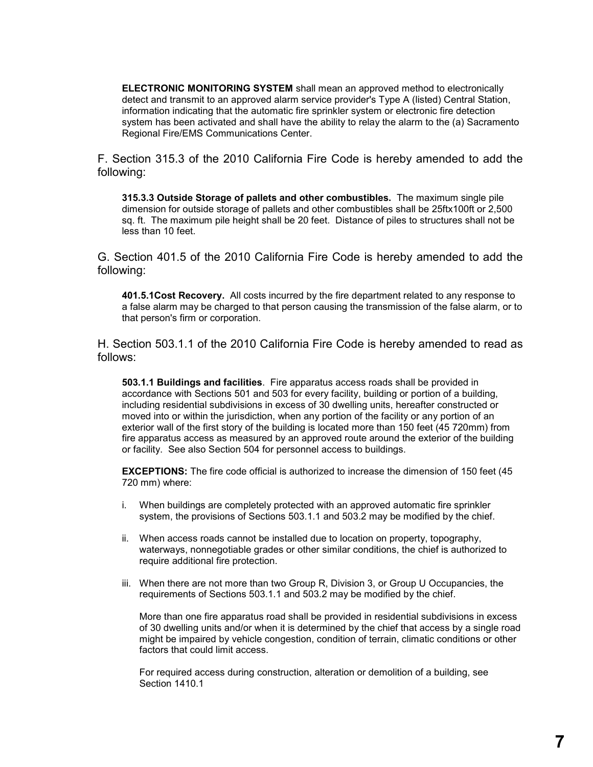**ELECTRONIC MONITORING SYSTEM** shall mean an approved method to electronically detect and transmit to an approved alarm service provider's Type A (listed) Central Station, information indicating that the automatic fire sprinkler system or electronic fire detection system has been activated and shall have the ability to relay the alarm to the (a) Sacramento Regional Fire/EMS Communications Center.

F. Section 315.3 of the 2010 California Fire Code is hereby amended to add the following:

**315.3.3 Outside Storage of pallets and other combustibles.** The maximum single pile dimension for outside storage of pallets and other combustibles shall be 25ftx100ft or 2,500 sq. ft. The maximum pile height shall be 20 feet. Distance of piles to structures shall not be less than 10 feet.

G. Section 401.5 of the 2010 California Fire Code is hereby amended to add the following:

**401.5.1Cost Recovery.** All costs incurred by the fire department related to any response to a false alarm may be charged to that person causing the transmission of the false alarm, or to that person's firm or corporation.

H. Section 503.1.1 of the 2010 California Fire Code is hereby amended to read as follows:

**503.1.1 Buildings and facilities**. Fire apparatus access roads shall be provided in accordance with Sections 501 and 503 for every facility, building or portion of a building, including residential subdivisions in excess of 30 dwelling units, hereafter constructed or moved into or within the jurisdiction, when any portion of the facility or any portion of an exterior wall of the first story of the building is located more than 150 feet (45 720mm) from fire apparatus access as measured by an approved route around the exterior of the building or facility. See also Section 504 for personnel access to buildings.

**EXCEPTIONS:** The fire code official is authorized to increase the dimension of 150 feet (45 720 mm) where:

- i. When buildings are completely protected with an approved automatic fire sprinkler system, the provisions of Sections 503.1.1 and 503.2 may be modified by the chief.
- ii. When access roads cannot be installed due to location on property, topography, waterways, nonnegotiable grades or other similar conditions, the chief is authorized to require additional fire protection.
- iii. When there are not more than two Group R, Division 3, or Group U Occupancies, the requirements of Sections 503.1.1 and 503.2 may be modified by the chief.

More than one fire apparatus road shall be provided in residential subdivisions in excess of 30 dwelling units and/or when it is determined by the chief that access by a single road might be impaired by vehicle congestion, condition of terrain, climatic conditions or other factors that could limit access.

For required access during construction, alteration or demolition of a building, see Section 1410.1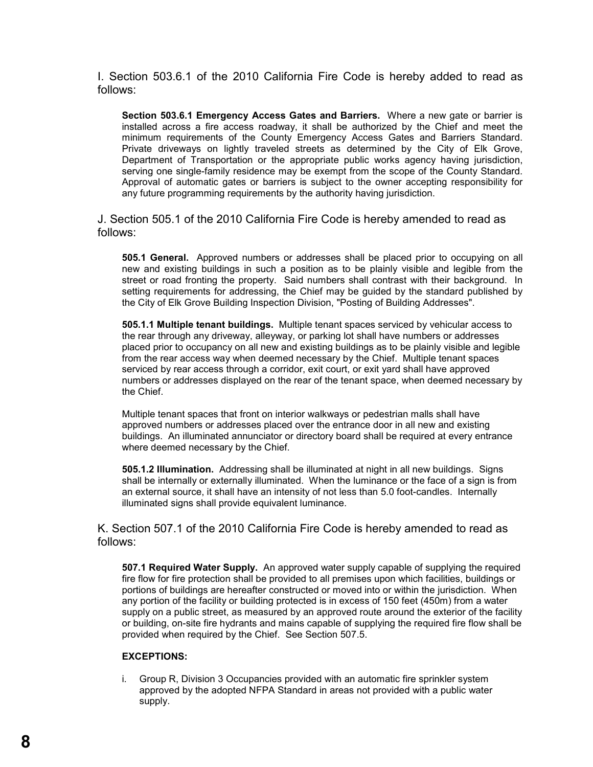I. Section 503.6.1 of the 2010 California Fire Code is hereby added to read as follows:

**Section 503.6.1 Emergency Access Gates and Barriers.** Where a new gate or barrier is installed across a fire access roadway, it shall be authorized by the Chief and meet the minimum requirements of the County Emergency Access Gates and Barriers Standard. Private driveways on lightly traveled streets as determined by the City of Elk Grove, Department of Transportation or the appropriate public works agency having jurisdiction, serving one single-family residence may be exempt from the scope of the County Standard. Approval of automatic gates or barriers is subject to the owner accepting responsibility for any future programming requirements by the authority having jurisdiction.

J. Section 505.1 of the 2010 California Fire Code is hereby amended to read as follows:

**505.1 General.** Approved numbers or addresses shall be placed prior to occupying on all new and existing buildings in such a position as to be plainly visible and legible from the street or road fronting the property. Said numbers shall contrast with their background. In setting requirements for addressing, the Chief may be guided by the standard published by the City of Elk Grove Building Inspection Division, "Posting of Building Addresses".

**505.1.1 Multiple tenant buildings.** Multiple tenant spaces serviced by vehicular access to the rear through any driveway, alleyway, or parking lot shall have numbers or addresses placed prior to occupancy on all new and existing buildings as to be plainly visible and legible from the rear access way when deemed necessary by the Chief. Multiple tenant spaces serviced by rear access through a corridor, exit court, or exit yard shall have approved numbers or addresses displayed on the rear of the tenant space, when deemed necessary by the Chief.

Multiple tenant spaces that front on interior walkways or pedestrian malls shall have approved numbers or addresses placed over the entrance door in all new and existing buildings. An illuminated annunciator or directory board shall be required at every entrance where deemed necessary by the Chief.

**505.1.2 Illumination.** Addressing shall be illuminated at night in all new buildings. Signs shall be internally or externally illuminated. When the luminance or the face of a sign is from an external source, it shall have an intensity of not less than 5.0 foot-candles. Internally illuminated signs shall provide equivalent luminance.

K. Section 507.1 of the 2010 California Fire Code is hereby amended to read as follows:

**507.1 Required Water Supply.** An approved water supply capable of supplying the required fire flow for fire protection shall be provided to all premises upon which facilities, buildings or portions of buildings are hereafter constructed or moved into or within the jurisdiction. When any portion of the facility or building protected is in excess of 150 feet (450m) from a water supply on a public street, as measured by an approved route around the exterior of the facility or building, on-site fire hydrants and mains capable of supplying the required fire flow shall be provided when required by the Chief. See Section 507.5.

#### **EXCEPTIONS:**

i. Group R, Division 3 Occupancies provided with an automatic fire sprinkler system approved by the adopted NFPA Standard in areas not provided with a public water supply.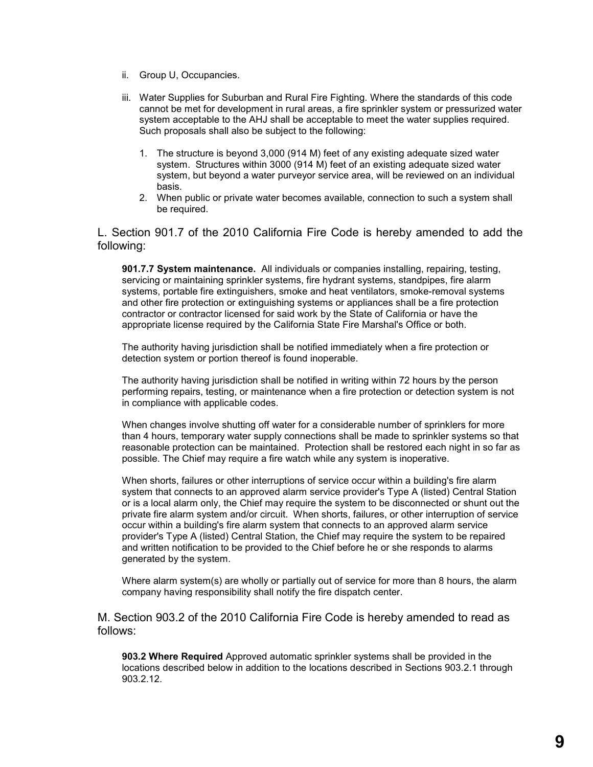- ii. Group U, Occupancies.
- iii. Water Supplies for Suburban and Rural Fire Fighting. Where the standards of this code cannot be met for development in rural areas, a fire sprinkler system or pressurized water system acceptable to the AHJ shall be acceptable to meet the water supplies required. Such proposals shall also be subject to the following:
	- 1. The structure is beyond 3,000 (914 M) feet of any existing adequate sized water system. Structures within 3000 (914 M) feet of an existing adequate sized water system, but beyond a water purveyor service area, will be reviewed on an individual basis.
	- 2. When public or private water becomes available, connection to such a system shall be required.

L. Section 901.7 of the 2010 California Fire Code is hereby amended to add the following:

**901.7.7 System maintenance.** All individuals or companies installing, repairing, testing, servicing or maintaining sprinkler systems, fire hydrant systems, standpipes, fire alarm systems, portable fire extinguishers, smoke and heat ventilators, smoke-removal systems and other fire protection or extinguishing systems or appliances shall be a fire protection contractor or contractor licensed for said work by the State of California or have the appropriate license required by the California State Fire Marshal's Office or both.

The authority having jurisdiction shall be notified immediately when a fire protection or detection system or portion thereof is found inoperable.

The authority having jurisdiction shall be notified in writing within 72 hours by the person performing repairs, testing, or maintenance when a fire protection or detection system is not in compliance with applicable codes.

When changes involve shutting off water for a considerable number of sprinklers for more than 4 hours, temporary water supply connections shall be made to sprinkler systems so that reasonable protection can be maintained. Protection shall be restored each night in so far as possible. The Chief may require a fire watch while any system is inoperative.

When shorts, failures or other interruptions of service occur within a building's fire alarm system that connects to an approved alarm service provider's Type A (listed) Central Station or is a local alarm only, the Chief may require the system to be disconnected or shunt out the private fire alarm system and/or circuit. When shorts, failures, or other interruption of service occur within a building's fire alarm system that connects to an approved alarm service provider's Type A (listed) Central Station, the Chief may require the system to be repaired and written notification to be provided to the Chief before he or she responds to alarms generated by the system.

Where alarm system(s) are wholly or partially out of service for more than 8 hours, the alarm company having responsibility shall notify the fire dispatch center.

M. Section 903.2 of the 2010 California Fire Code is hereby amended to read as follows:

**903.2 Where Required** Approved automatic sprinkler systems shall be provided in the locations described below in addition to the locations described in Sections 903.2.1 through 903.2.12.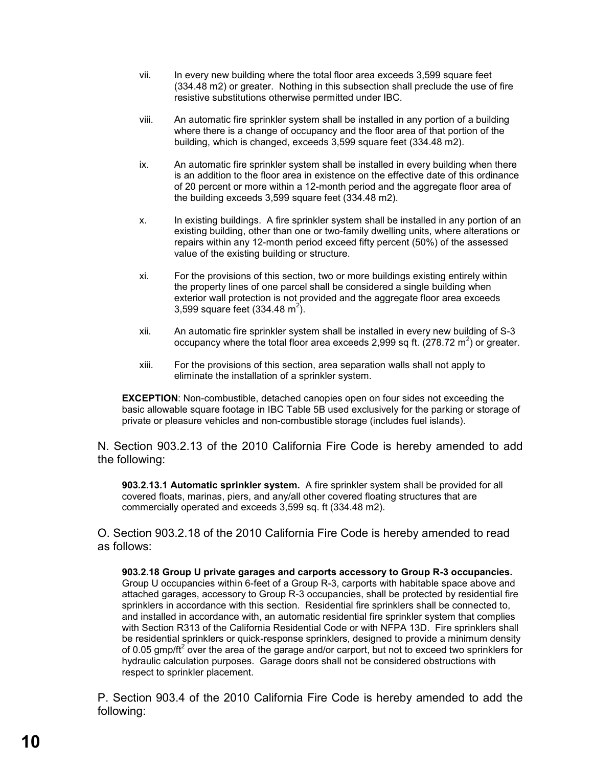- vii. In every new building where the total floor area exceeds 3,599 square feet (334.48 m2) or greater. Nothing in this subsection shall preclude the use of fire resistive substitutions otherwise permitted under IBC.
- viii. An automatic fire sprinkler system shall be installed in any portion of a building where there is a change of occupancy and the floor area of that portion of the building, which is changed, exceeds 3,599 square feet (334.48 m2).
- ix. An automatic fire sprinkler system shall be installed in every building when there is an addition to the floor area in existence on the effective date of this ordinance of 20 percent or more within a 12-month period and the aggregate floor area of the building exceeds 3,599 square feet (334.48 m2).
- x. In existing buildings. A fire sprinkler system shall be installed in any portion of an existing building, other than one or two-family dwelling units, where alterations or repairs within any 12-month period exceed fifty percent (50%) of the assessed value of the existing building or structure.
- xi. For the provisions of this section, two or more buildings existing entirely within the property lines of one parcel shall be considered a single building when exterior wall protection is not provided and the aggregate floor area exceeds 3,599 square feet (334.48 m<sup>2</sup>).
- xii. An automatic fire sprinkler system shall be installed in every new building of S-3 occupancy where the total floor area exceeds 2,999 sq ft.  $(278.72 \text{ m}^2)$  or greater.
- xiii. For the provisions of this section, area separation walls shall not apply to eliminate the installation of a sprinkler system.

**EXCEPTION**: Non-combustible, detached canopies open on four sides not exceeding the basic allowable square footage in IBC Table 5B used exclusively for the parking or storage of private or pleasure vehicles and non-combustible storage (includes fuel islands).

N. Section 903.2.13 of the 2010 California Fire Code is hereby amended to add the following:

**903.2.13.1 Automatic sprinkler system.** A fire sprinkler system shall be provided for all covered floats, marinas, piers, and any/all other covered floating structures that are commercially operated and exceeds 3,599 sq. ft (334.48 m2).

O. Section 903.2.18 of the 2010 California Fire Code is hereby amended to read as follows:

**903.2.18 Group U private garages and carports accessory to Group R-3 occupancies.** Group U occupancies within 6-feet of a Group R-3, carports with habitable space above and attached garages, accessory to Group R-3 occupancies, shall be protected by residential fire sprinklers in accordance with this section. Residential fire sprinklers shall be connected to, and installed in accordance with, an automatic residential fire sprinkler system that complies with Section R313 of the California Residential Code or with NFPA 13D. Fire sprinklers shall be residential sprinklers or quick-response sprinklers, designed to provide a minimum density of 0.05 gmp/ft<sup>2</sup> over the area of the garage and/or carport, but not to exceed two sprinklers for hydraulic calculation purposes. Garage doors shall not be considered obstructions with respect to sprinkler placement.

P. Section 903.4 of the 2010 California Fire Code is hereby amended to add the following: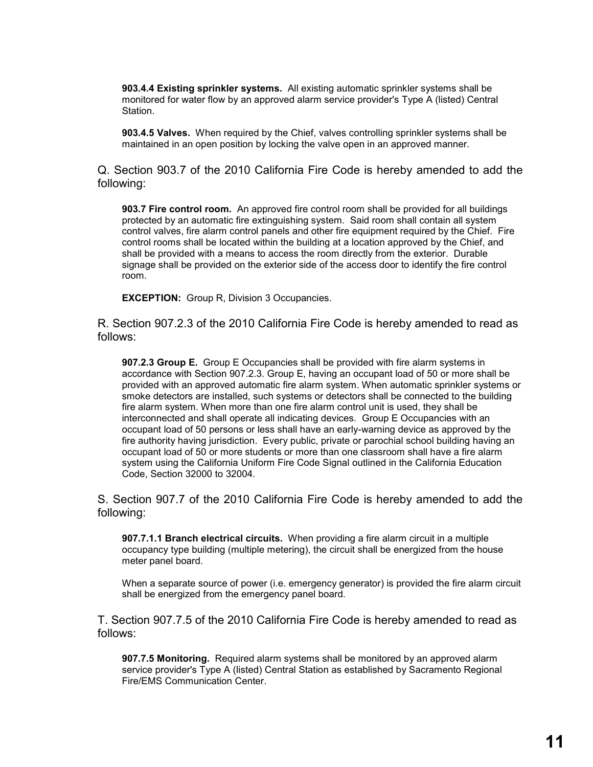**903.4.4 Existing sprinkler systems.** All existing automatic sprinkler systems shall be monitored for water flow by an approved alarm service provider's Type A (listed) Central **Station** 

**903.4.5 Valves.** When required by the Chief, valves controlling sprinkler systems shall be maintained in an open position by locking the valve open in an approved manner.

Q. Section 903.7 of the 2010 California Fire Code is hereby amended to add the following:

**903.7 Fire control room.** An approved fire control room shall be provided for all buildings protected by an automatic fire extinguishing system. Said room shall contain all system control valves, fire alarm control panels and other fire equipment required by the Chief. Fire control rooms shall be located within the building at a location approved by the Chief, and shall be provided with a means to access the room directly from the exterior. Durable signage shall be provided on the exterior side of the access door to identify the fire control room.

**EXCEPTION:** Group R, Division 3 Occupancies.

R. Section 907.2.3 of the 2010 California Fire Code is hereby amended to read as follows:

**907.2.3 Group E.** Group E Occupancies shall be provided with fire alarm systems in accordance with Section 907.2.3. Group E, having an occupant load of 50 or more shall be provided with an approved automatic fire alarm system. When automatic sprinkler systems or smoke detectors are installed, such systems or detectors shall be connected to the building fire alarm system. When more than one fire alarm control unit is used, they shall be interconnected and shall operate all indicating devices. Group E Occupancies with an occupant load of 50 persons or less shall have an early-warning device as approved by the fire authority having jurisdiction. Every public, private or parochial school building having an occupant load of 50 or more students or more than one classroom shall have a fire alarm system using the California Uniform Fire Code Signal outlined in the California Education Code, Section 32000 to 32004.

S. Section 907.7 of the 2010 California Fire Code is hereby amended to add the following:

**907.7.1.1 Branch electrical circuits.** When providing a fire alarm circuit in a multiple occupancy type building (multiple metering), the circuit shall be energized from the house meter panel board.

When a separate source of power (i.e. emergency generator) is provided the fire alarm circuit shall be energized from the emergency panel board.

T. Section 907.7.5 of the 2010 California Fire Code is hereby amended to read as follows:

**907.7.5 Monitoring.** Required alarm systems shall be monitored by an approved alarm service provider's Type A (listed) Central Station as established by Sacramento Regional Fire/EMS Communication Center.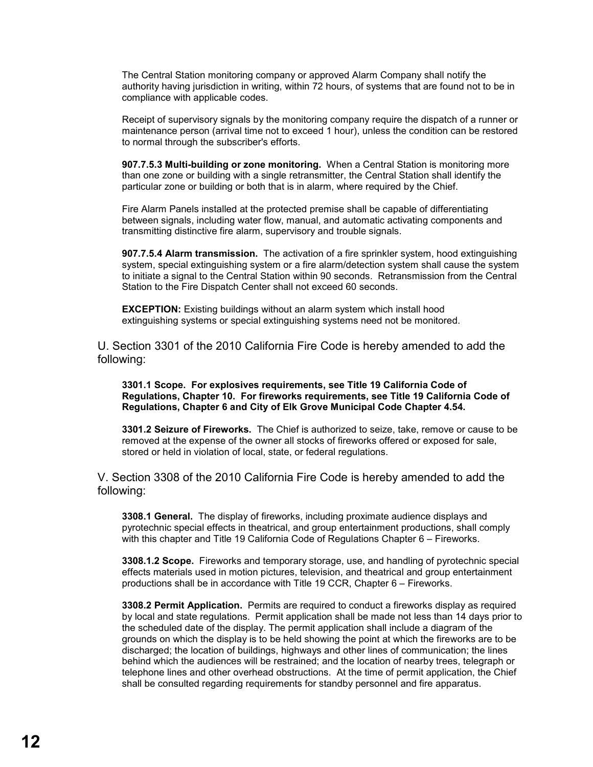The Central Station monitoring company or approved Alarm Company shall notify the authority having jurisdiction in writing, within 72 hours, of systems that are found not to be in compliance with applicable codes.

Receipt of supervisory signals by the monitoring company require the dispatch of a runner or maintenance person (arrival time not to exceed 1 hour), unless the condition can be restored to normal through the subscriber's efforts.

**907.7.5.3 Multi-building or zone monitoring.** When a Central Station is monitoring more than one zone or building with a single retransmitter, the Central Station shall identify the particular zone or building or both that is in alarm, where required by the Chief.

Fire Alarm Panels installed at the protected premise shall be capable of differentiating between signals, including water flow, manual, and automatic activating components and transmitting distinctive fire alarm, supervisory and trouble signals.

**907.7.5.4 Alarm transmission.** The activation of a fire sprinkler system, hood extinguishing system, special extinguishing system or a fire alarm/detection system shall cause the system to initiate a signal to the Central Station within 90 seconds. Retransmission from the Central Station to the Fire Dispatch Center shall not exceed 60 seconds.

**EXCEPTION:** Existing buildings without an alarm system which install hood extinguishing systems or special extinguishing systems need not be monitored.

U. Section 3301 of the 2010 California Fire Code is hereby amended to add the following:

**3301.1 Scope. For explosives requirements, see Title 19 California Code of Regulations, Chapter 10. For fireworks requirements, see Title 19 California Code of Regulations, Chapter 6 and City of Elk Grove Municipal Code Chapter 4.54.**

**3301.2 Seizure of Fireworks.** The Chief is authorized to seize, take, remove or cause to be removed at the expense of the owner all stocks of fireworks offered or exposed for sale, stored or held in violation of local, state, or federal regulations.

V. Section 3308 of the 2010 California Fire Code is hereby amended to add the following:

**3308.1 General.** The display of fireworks, including proximate audience displays and pyrotechnic special effects in theatrical, and group entertainment productions, shall comply with this chapter and Title 19 California Code of Regulations Chapter 6 – Fireworks.

**3308.1.2 Scope.** Fireworks and temporary storage, use, and handling of pyrotechnic special effects materials used in motion pictures, television, and theatrical and group entertainment productions shall be in accordance with Title 19 CCR, Chapter 6 – Fireworks.

**3308.2 Permit Application.** Permits are required to conduct a fireworks display as required by local and state regulations. Permit application shall be made not less than 14 days prior to the scheduled date of the display. The permit application shall include a diagram of the grounds on which the display is to be held showing the point at which the fireworks are to be discharged; the location of buildings, highways and other lines of communication; the lines behind which the audiences will be restrained; and the location of nearby trees, telegraph or telephone lines and other overhead obstructions. At the time of permit application, the Chief shall be consulted regarding requirements for standby personnel and fire apparatus.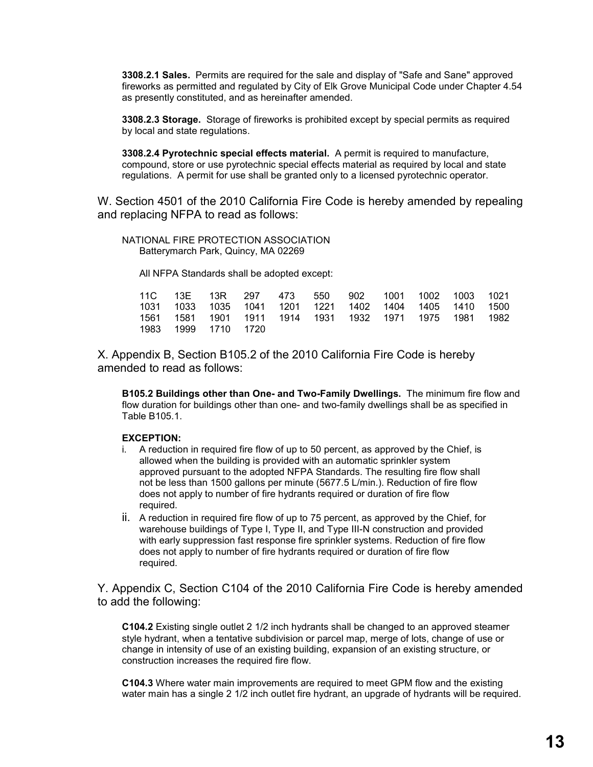**3308.2.1 Sales.** Permits are required for the sale and display of "Safe and Sane" approved fireworks as permitted and regulated by City of Elk Grove Municipal Code under Chapter 4.54 as presently constituted, and as hereinafter amended.

**3308.2.3 Storage.** Storage of fireworks is prohibited except by special permits as required by local and state regulations.

**3308.2.4 Pyrotechnic special effects material.** A permit is required to manufacture, compound, store or use pyrotechnic special effects material as required by local and state regulations. A permit for use shall be granted only to a licensed pyrotechnic operator.

W. Section 4501 of the 2010 California Fire Code is hereby amended by repealing and replacing NFPA to read as follows:

NATIONAL FIRE PROTECTION ASSOCIATION Batterymarch Park, Quincy, MA 02269

All NFPA Standards shall be adopted except:

|  |                     |  | 11C 13E 13R 297 473 550 902 1001 1002 1003 1021        |  |  |
|--|---------------------|--|--------------------------------------------------------|--|--|
|  |                     |  | 1031 1033 1035 1041 1201 1221 1402 1404 1405 1410 1500 |  |  |
|  |                     |  | 1561 1581 1901 1911 1914 1931 1932 1971 1975 1981 1982 |  |  |
|  | 1983 1999 1710 1720 |  |                                                        |  |  |

X. Appendix B, Section B105.2 of the 2010 California Fire Code is hereby amended to read as follows:

**B105.2 Buildings other than One- and Two-Family Dwellings.** The minimum fire flow and flow duration for buildings other than one- and two-family dwellings shall be as specified in Table B105.1.

#### **EXCEPTION:**

- i. A reduction in required fire flow of up to 50 percent, as approved by the Chief, is allowed when the building is provided with an automatic sprinkler system approved pursuant to the adopted NFPA Standards. The resulting fire flow shall not be less than 1500 gallons per minute (5677.5 L/min.). Reduction of fire flow does not apply to number of fire hydrants required or duration of fire flow required.
- ii. A reduction in required fire flow of up to 75 percent, as approved by the Chief, for warehouse buildings of Type I, Type II, and Type III-N construction and provided with early suppression fast response fire sprinkler systems. Reduction of fire flow does not apply to number of fire hydrants required or duration of fire flow required.

Y. Appendix C, Section C104 of the 2010 California Fire Code is hereby amended to add the following:

**C104.2** Existing single outlet 2 1/2 inch hydrants shall be changed to an approved steamer style hydrant, when a tentative subdivision or parcel map, merge of lots, change of use or change in intensity of use of an existing building, expansion of an existing structure, or construction increases the required fire flow.

**C104.3** Where water main improvements are required to meet GPM flow and the existing water main has a single 2 1/2 inch outlet fire hydrant, an upgrade of hydrants will be required.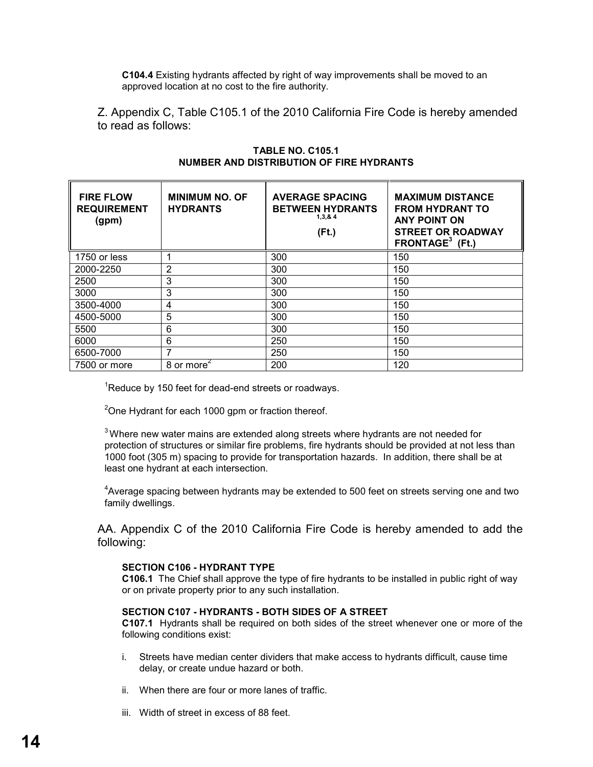**C104.4** Existing hydrants affected by right of way improvements shall be moved to an approved location at no cost to the fire authority.

Z. Appendix C, Table C105.1 of the 2010 California Fire Code is hereby amended to read as follows:

| <b>FIRE FLOW</b><br><b>REQUIREMENT</b><br>(gpm) | <b>MINIMUM NO. OF</b><br><b>HYDRANTS</b>   | <b>AVERAGE SPACING</b><br><b>BETWEEN HYDRANTS</b><br>1,3,8,4<br>$($ Ft. $)$ | <b>MAXIMUM DISTANCE</b><br><b>FROM HYDRANT TO</b><br><b>ANY POINT ON</b><br><b>STREET OR ROADWAY</b><br>FRONTAGE $3$ (Ft.) |
|-------------------------------------------------|--------------------------------------------|-----------------------------------------------------------------------------|----------------------------------------------------------------------------------------------------------------------------|
| 1750 or less                                    |                                            | 300                                                                         | 150                                                                                                                        |
| 2000-2250                                       | 2                                          | 300                                                                         | 150                                                                                                                        |
| 2500                                            | 3                                          | 300                                                                         | 150                                                                                                                        |
| 3000                                            | 3                                          | 300                                                                         | 150                                                                                                                        |
| 3500-4000                                       | 4                                          | 300                                                                         | 150                                                                                                                        |
| 4500-5000                                       | 5                                          | 300                                                                         | 150                                                                                                                        |
| 5500                                            | 6                                          | 300                                                                         | 150                                                                                                                        |
| 6000                                            | 6                                          | 250                                                                         | 150                                                                                                                        |
| 6500-7000                                       | 7                                          | 250                                                                         | 150                                                                                                                        |
| 7500 or more                                    | 8 or more <sup><math>\epsilon</math></sup> | 200                                                                         | 120                                                                                                                        |

### **TABLE NO. C105.1 NUMBER AND DISTRIBUTION OF FIRE HYDRANTS**

 $1$ Reduce by 150 feet for dead-end streets or roadways.

 $2^2$ One Hydrant for each 1000 gpm or fraction thereof.

 $3$ Where new water mains are extended along streets where hydrants are not needed for protection of structures or similar fire problems, fire hydrants should be provided at not less than 1000 foot (305 m) spacing to provide for transportation hazards. In addition, there shall be at least one hydrant at each intersection.

 $4$ Average spacing between hydrants may be extended to 500 feet on streets serving one and two family dwellings.

AA. Appendix C of the 2010 California Fire Code is hereby amended to add the following:

#### **SECTION C106 - HYDRANT TYPE**

**C106.1** The Chief shall approve the type of fire hydrants to be installed in public right of way or on private property prior to any such installation.

### **SECTION C107 - HYDRANTS - BOTH SIDES OF A STREET**

**C107.1** Hydrants shall be required on both sides of the street whenever one or more of the following conditions exist:

- i. Streets have median center dividers that make access to hydrants difficult, cause time delay, or create undue hazard or both.
- ii. When there are four or more lanes of traffic.
- iii. Width of street in excess of 88 feet.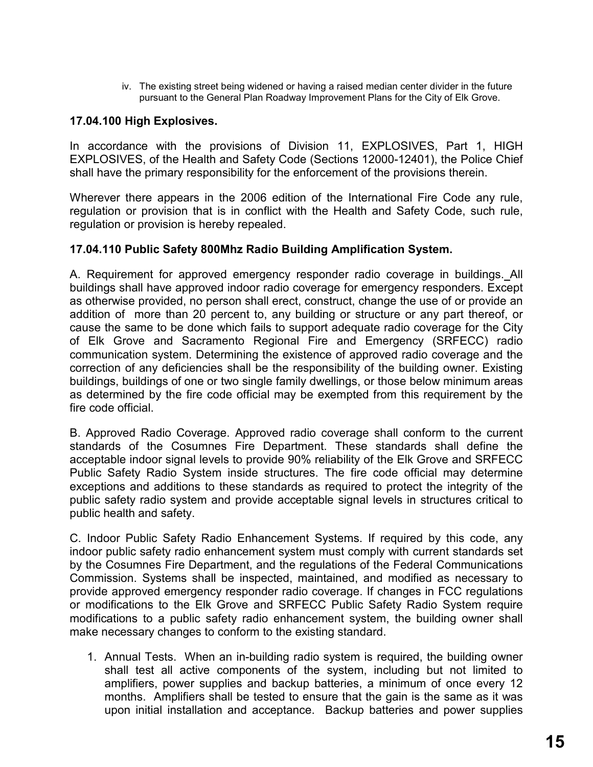iv. The existing street being widened or having a raised median center divider in the future pursuant to the General Plan Roadway Improvement Plans for the City of Elk Grove.

## **17.04.100 High Explosives.**

In accordance with the provisions of Division 11, EXPLOSIVES, Part 1, HIGH EXPLOSIVES, of the Health and Safety Code (Sections 12000-12401), the Police Chief shall have the primary responsibility for the enforcement of the provisions therein.

Wherever there appears in the 2006 edition of the International Fire Code any rule, regulation or provision that is in conflict with the Health and Safety Code, such rule, regulation or provision is hereby repealed.

### **17.04.110 Public Safety 800Mhz Radio Building Amplification System.**

A. Requirement for approved emergency responder radio coverage in buildings. All buildings shall have approved indoor radio coverage for emergency responders. Except as otherwise provided, no person shall erect, construct, change the use of or provide an addition of more than 20 percent to, any building or structure or any part thereof, or cause the same to be done which fails to support adequate radio coverage for the City of Elk Grove and Sacramento Regional Fire and Emergency (SRFECC) radio communication system. Determining the existence of approved radio coverage and the correction of any deficiencies shall be the responsibility of the building owner. Existing buildings, buildings of one or two single family dwellings, or those below minimum areas as determined by the fire code official may be exempted from this requirement by the fire code official.

B. Approved Radio Coverage. Approved radio coverage shall conform to the current standards of the Cosumnes Fire Department. These standards shall define the acceptable indoor signal levels to provide 90% reliability of the Elk Grove and SRFECC Public Safety Radio System inside structures. The fire code official may determine exceptions and additions to these standards as required to protect the integrity of the public safety radio system and provide acceptable signal levels in structures critical to public health and safety.

C. Indoor Public Safety Radio Enhancement Systems. If required by this code, any indoor public safety radio enhancement system must comply with current standards set by the Cosumnes Fire Department, and the regulations of the Federal Communications Commission. Systems shall be inspected, maintained, and modified as necessary to provide approved emergency responder radio coverage. If changes in FCC regulations or modifications to the Elk Grove and SRFECC Public Safety Radio System require modifications to a public safety radio enhancement system, the building owner shall make necessary changes to conform to the existing standard.

1. Annual Tests. When an in-building radio system is required, the building owner shall test all active components of the system, including but not limited to amplifiers, power supplies and backup batteries, a minimum of once every 12 months. Amplifiers shall be tested to ensure that the gain is the same as it was upon initial installation and acceptance. Backup batteries and power supplies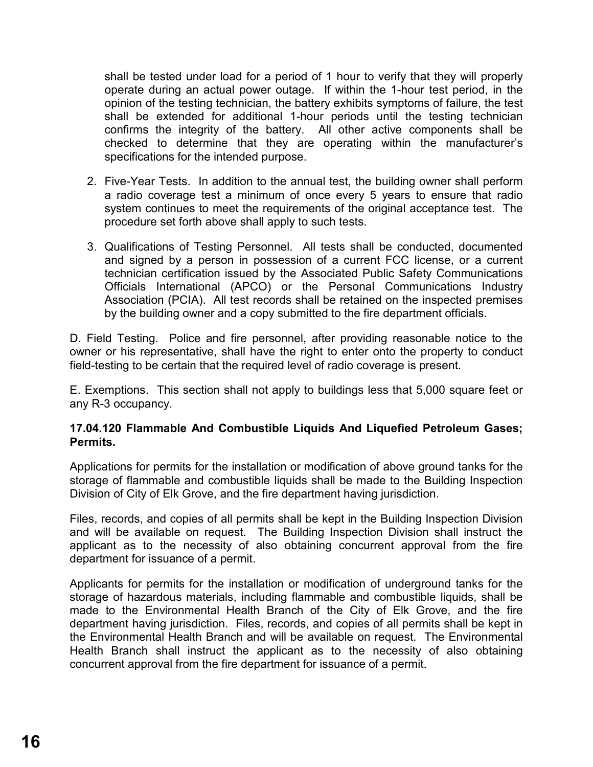shall be tested under load for a period of 1 hour to verify that they will properly operate during an actual power outage. If within the 1-hour test period, in the opinion of the testing technician, the battery exhibits symptoms of failure, the test shall be extended for additional 1-hour periods until the testing technician confirms the integrity of the battery. All other active components shall be checked to determine that they are operating within the manufacturer's specifications for the intended purpose.

- 2. Five-Year Tests.In addition to the annual test, the building owner shall perform a radio coverage test a minimum of once every 5 years to ensure that radio system continues to meet the requirements of the original acceptance test. The procedure set forth above shall apply to such tests.
- 3. Qualifications of Testing Personnel. All tests shall be conducted, documented and signed by a person in possession of a current FCC license, or a current technician certification issued by the Associated Public Safety Communications Officials International (APCO) or the Personal Communications Industry Association (PCIA). All test records shall be retained on the inspected premises by the building owner and a copy submitted to the fire department officials.

D. Field Testing. Police and fire personnel, after providing reasonable notice to the owner or his representative, shall have the right to enter onto the property to conduct field-testing to be certain that the required level of radio coverage is present.

E. Exemptions. This section shall not apply to buildings less that 5,000 square feet or any R-3 occupancy.

## **17.04.120 Flammable And Combustible Liquids And Liquefied Petroleum Gases; Permits.**

Applications for permits for the installation or modification of above ground tanks for the storage of flammable and combustible liquids shall be made to the Building Inspection Division of City of Elk Grove, and the fire department having jurisdiction.

Files, records, and copies of all permits shall be kept in the Building Inspection Division and will be available on request. The Building Inspection Division shall instruct the applicant as to the necessity of also obtaining concurrent approval from the fire department for issuance of a permit.

Applicants for permits for the installation or modification of underground tanks for the storage of hazardous materials, including flammable and combustible liquids, shall be made to the Environmental Health Branch of the City of Elk Grove, and the fire department having jurisdiction. Files, records, and copies of all permits shall be kept in the Environmental Health Branch and will be available on request. The Environmental Health Branch shall instruct the applicant as to the necessity of also obtaining concurrent approval from the fire department for issuance of a permit.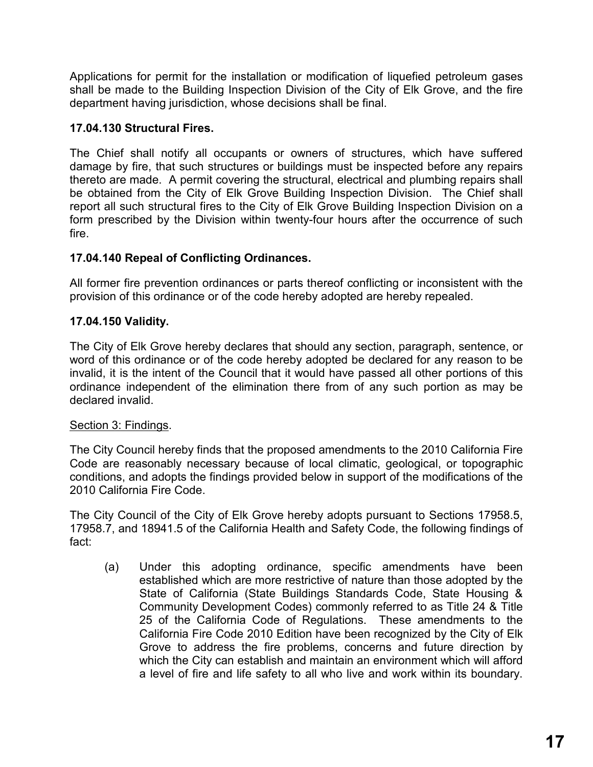Applications for permit for the installation or modification of liquefied petroleum gases shall be made to the Building Inspection Division of the City of Elk Grove, and the fire department having jurisdiction, whose decisions shall be final.

# **17.04.130 Structural Fires.**

The Chief shall notify all occupants or owners of structures, which have suffered damage by fire, that such structures or buildings must be inspected before any repairs thereto are made. A permit covering the structural, electrical and plumbing repairs shall be obtained from the City of Elk Grove Building Inspection Division. The Chief shall report all such structural fires to the City of Elk Grove Building Inspection Division on a form prescribed by the Division within twenty-four hours after the occurrence of such fire.

# **17.04.140 Repeal of Conflicting Ordinances.**

All former fire prevention ordinances or parts thereof conflicting or inconsistent with the provision of this ordinance or of the code hereby adopted are hereby repealed.

# **17.04.150 Validity.**

The City of Elk Grove hereby declares that should any section, paragraph, sentence, or word of this ordinance or of the code hereby adopted be declared for any reason to be invalid, it is the intent of the Council that it would have passed all other portions of this ordinance independent of the elimination there from of any such portion as may be declared invalid.

# Section 3: Findings.

The City Council hereby finds that the proposed amendments to the 2010 California Fire Code are reasonably necessary because of local climatic, geological, or topographic conditions, and adopts the findings provided below in support of the modifications of the 2010 California Fire Code.

The City Council of the City of Elk Grove hereby adopts pursuant to Sections 17958.5, 17958.7, and 18941.5 of the California Health and Safety Code, the following findings of fact:

(a) Under this adopting ordinance, specific amendments have been established which are more restrictive of nature than those adopted by the State of California (State Buildings Standards Code, State Housing & Community Development Codes) commonly referred to as Title 24 & Title 25 of the California Code of Regulations. These amendments to the California Fire Code 2010 Edition have been recognized by the City of Elk Grove to address the fire problems, concerns and future direction by which the City can establish and maintain an environment which will afford a level of fire and life safety to all who live and work within its boundary.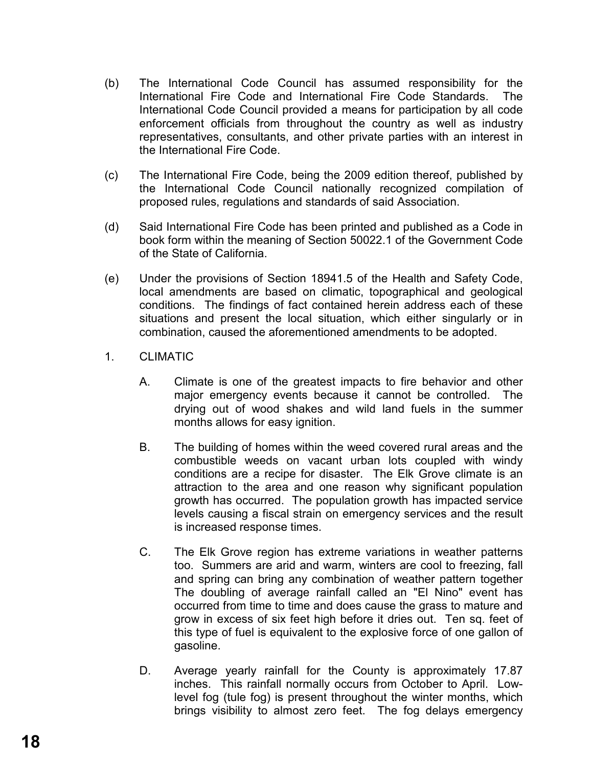- (b) The International Code Council has assumed responsibility for the International Fire Code and International Fire Code Standards. The International Code Council provided a means for participation by all code enforcement officials from throughout the country as well as industry representatives, consultants, and other private parties with an interest in the International Fire Code.
- (c) The International Fire Code, being the 2009 edition thereof, published by the International Code Council nationally recognized compilation of proposed rules, regulations and standards of said Association.
- (d) Said International Fire Code has been printed and published as a Code in book form within the meaning of Section 50022.1 of the Government Code of the State of California.
- (e) Under the provisions of Section 18941.5 of the Health and Safety Code, local amendments are based on climatic, topographical and geological conditions. The findings of fact contained herein address each of these situations and present the local situation, which either singularly or in combination, caused the aforementioned amendments to be adopted.
- 1. CLIMATIC
	- A. Climate is one of the greatest impacts to fire behavior and other major emergency events because it cannot be controlled. The drying out of wood shakes and wild land fuels in the summer months allows for easy ignition.
	- B. The building of homes within the weed covered rural areas and the combustible weeds on vacant urban lots coupled with windy conditions are a recipe for disaster. The Elk Grove climate is an attraction to the area and one reason why significant population growth has occurred. The population growth has impacted service levels causing a fiscal strain on emergency services and the result is increased response times.
	- C. The Elk Grove region has extreme variations in weather patterns too. Summers are arid and warm, winters are cool to freezing, fall and spring can bring any combination of weather pattern together The doubling of average rainfall called an "El Nino" event has occurred from time to time and does cause the grass to mature and grow in excess of six feet high before it dries out. Ten sq. feet of this type of fuel is equivalent to the explosive force of one gallon of gasoline.
	- D. Average yearly rainfall for the County is approximately 17.87 inches. This rainfall normally occurs from October to April. Lowlevel fog (tule fog) is present throughout the winter months, which brings visibility to almost zero feet. The fog delays emergency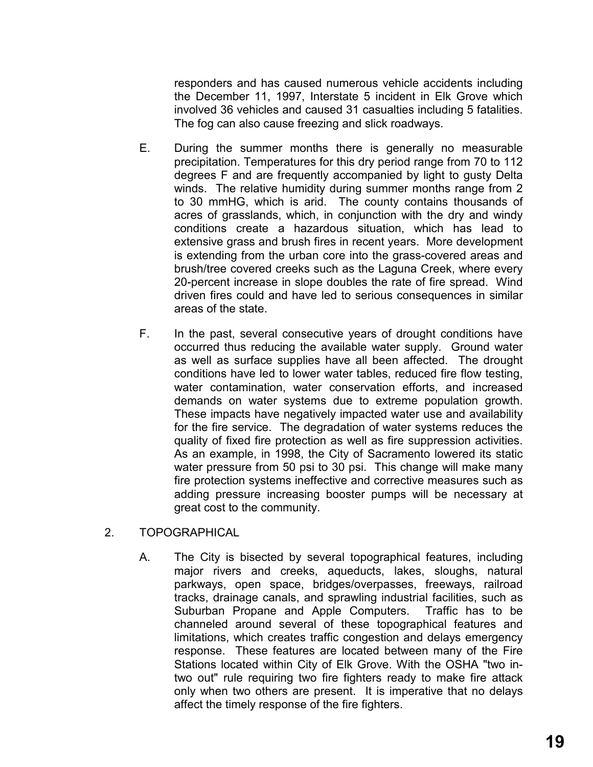responders and has caused numerous vehicle accidents including the December 11, 1997, Interstate 5 incident in Elk Grove which involved 36 vehicles and caused 31 casualties including 5 fatalities. The fog can also cause freezing and slick roadways.

- E. During the summer months there is generally no measurable precipitation. Temperatures for this dry period range from 70 to 112 degrees F and are frequently accompanied by light to gusty Delta winds. The relative humidity during summer months range from 2 to 30 mmHG, which is arid. The county contains thousands of acres of grasslands, which, in conjunction with the dry and windy conditions create a hazardous situation, which has lead to extensive grass and brush fires in recent years. More development is extending from the urban core into the grass-covered areas and brush/tree covered creeks such as the Laguna Creek, where every 20-percent increase in slope doubles the rate of fire spread. Wind driven fires could and have led to serious consequences in similar areas of the state.
- F. In the past, several consecutive years of drought conditions have occurred thus reducing the available water supply. Ground water as well as surface supplies have all been affected. The drought conditions have led to lower water tables, reduced fire flow testing, water contamination, water conservation efforts, and increased demands on water systems due to extreme population growth. These impacts have negatively impacted water use and availability for the fire service. The degradation of water systems reduces the quality of fixed fire protection as well as fire suppression activities. As an example, in 1998, the City of Sacramento lowered its static water pressure from 50 psi to 30 psi. This change will make many fire protection systems ineffective and corrective measures such as adding pressure increasing booster pumps will be necessary at great cost to the community.
- 2. TOPOGRAPHICAL
	- A. The City is bisected by several topographical features, including major rivers and creeks, aqueducts, lakes, sloughs, natural parkways, open space, bridges/overpasses, freeways, railroad tracks, drainage canals, and sprawling industrial facilities, such as Suburban Propane and Apple Computers. Traffic has to be channeled around several of these topographical features and limitations, which creates traffic congestion and delays emergency response. These features are located between many of the Fire Stations located within City of Elk Grove. With the OSHA "two intwo out" rule requiring two fire fighters ready to make fire attack only when two others are present. It is imperative that no delays affect the timely response of the fire fighters.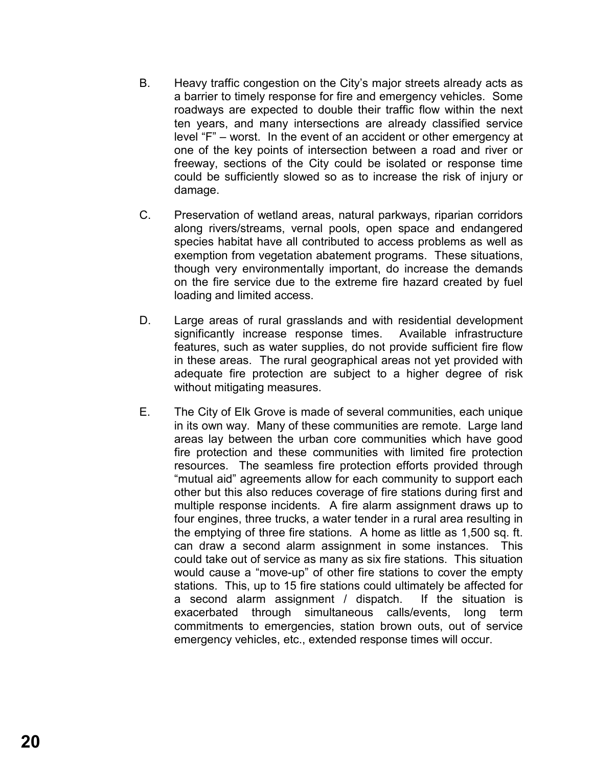- B. Heavy traffic congestion on the City's major streets already acts as a barrier to timely response for fire and emergency vehicles. Some roadways are expected to double their traffic flow within the next ten years, and many intersections are already classified service level "F" – worst. In the event of an accident or other emergency at one of the key points of intersection between a road and river or freeway, sections of the City could be isolated or response time could be sufficiently slowed so as to increase the risk of injury or damage.
- C. Preservation of wetland areas, natural parkways, riparian corridors along rivers/streams, vernal pools, open space and endangered species habitat have all contributed to access problems as well as exemption from vegetation abatement programs. These situations, though very environmentally important, do increase the demands on the fire service due to the extreme fire hazard created by fuel loading and limited access.
- D. Large areas of rural grasslands and with residential development significantly increase response times. Available infrastructure features, such as water supplies, do not provide sufficient fire flow in these areas. The rural geographical areas not yet provided with adequate fire protection are subject to a higher degree of risk without mitigating measures.
- E. The City of Elk Grove is made of several communities, each unique in its own way. Many of these communities are remote. Large land areas lay between the urban core communities which have good fire protection and these communities with limited fire protection resources. The seamless fire protection efforts provided through "mutual aid" agreements allow for each community to support each other but this also reduces coverage of fire stations during first and multiple response incidents. A fire alarm assignment draws up to four engines, three trucks, a water tender in a rural area resulting in the emptying of three fire stations. A home as little as 1,500 sq. ft. can draw a second alarm assignment in some instances. This could take out of service as many as six fire stations. This situation would cause a "move-up" of other fire stations to cover the empty stations. This, up to 15 fire stations could ultimately be affected for a second alarm assignment / dispatch. If the situation is exacerbated through simultaneous calls/events, long term commitments to emergencies, station brown outs, out of service emergency vehicles, etc., extended response times will occur.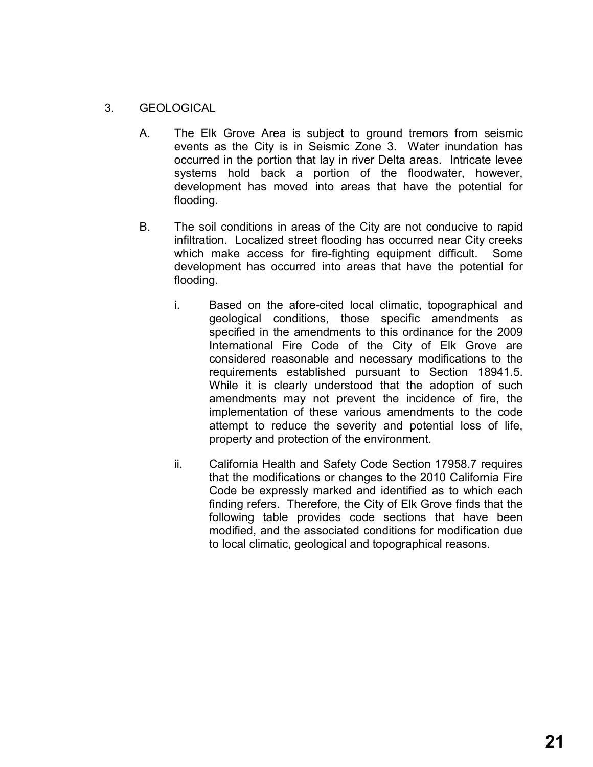# 3. GEOLOGICAL

- A. The Elk Grove Area is subject to ground tremors from seismic events as the City is in Seismic Zone 3. Water inundation has occurred in the portion that lay in river Delta areas. Intricate levee systems hold back a portion of the floodwater, however, development has moved into areas that have the potential for flooding.
- B. The soil conditions in areas of the City are not conducive to rapid infiltration. Localized street flooding has occurred near City creeks which make access for fire-fighting equipment difficult. Some development has occurred into areas that have the potential for flooding.
	- i. Based on the afore-cited local climatic, topographical and geological conditions, those specific amendments as specified in the amendments to this ordinance for the 2009 International Fire Code of the City of Elk Grove are considered reasonable and necessary modifications to the requirements established pursuant to Section 18941.5. While it is clearly understood that the adoption of such amendments may not prevent the incidence of fire, the implementation of these various amendments to the code attempt to reduce the severity and potential loss of life, property and protection of the environment.
	- ii. California Health and Safety Code Section 17958.7 requires that the modifications or changes to the 2010 California Fire Code be expressly marked and identified as to which each finding refers. Therefore, the City of Elk Grove finds that the following table provides code sections that have been modified, and the associated conditions for modification due to local climatic, geological and topographical reasons.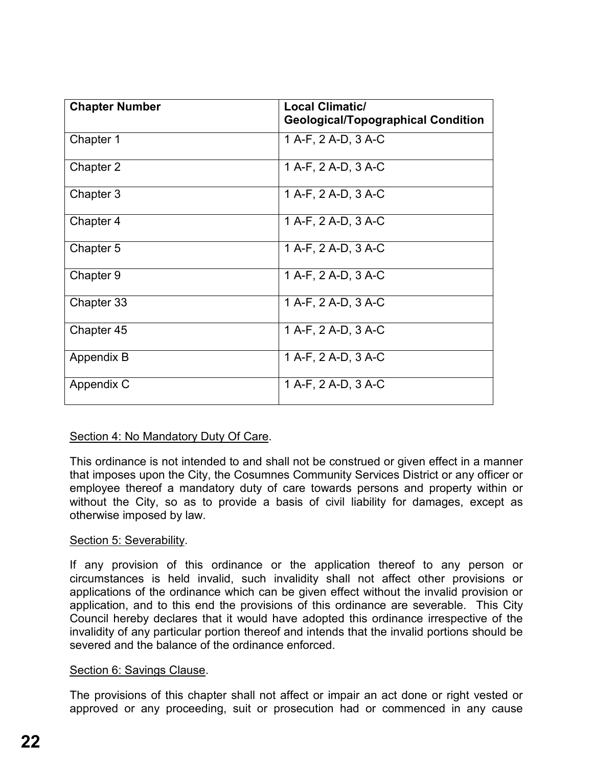| <b>Chapter Number</b> | <b>Local Climatic/</b><br><b>Geological/Topographical Condition</b> |
|-----------------------|---------------------------------------------------------------------|
| Chapter 1             | 1 A-F, 2 A-D, 3 A-C                                                 |
| Chapter 2             | 1 A-F, 2 A-D, 3 A-C                                                 |
| Chapter 3             | 1 A-F, 2 A-D, 3 A-C                                                 |
| Chapter 4             | 1 A-F, 2 A-D, 3 A-C                                                 |
| Chapter 5             | 1 A-F, 2 A-D, 3 A-C                                                 |
| Chapter 9             | 1 A-F, 2 A-D, 3 A-C                                                 |
| Chapter 33            | 1 A-F, 2 A-D, 3 A-C                                                 |
| Chapter 45            | 1 A-F, 2 A-D, 3 A-C                                                 |
| Appendix B            | 1 A-F, 2 A-D, 3 A-C                                                 |
| Appendix C            | 1 A-F, 2 A-D, 3 A-C                                                 |

## Section 4: No Mandatory Duty Of Care.

This ordinance is not intended to and shall not be construed or given effect in a manner that imposes upon the City, the Cosumnes Community Services District or any officer or employee thereof a mandatory duty of care towards persons and property within or without the City, so as to provide a basis of civil liability for damages, except as otherwise imposed by law.

## Section 5: Severability.

If any provision of this ordinance or the application thereof to any person or circumstances is held invalid, such invalidity shall not affect other provisions or applications of the ordinance which can be given effect without the invalid provision or application, and to this end the provisions of this ordinance are severable. This City Council hereby declares that it would have adopted this ordinance irrespective of the invalidity of any particular portion thereof and intends that the invalid portions should be severed and the balance of the ordinance enforced.

## Section 6: Savings Clause.

The provisions of this chapter shall not affect or impair an act done or right vested or approved or any proceeding, suit or prosecution had or commenced in any cause